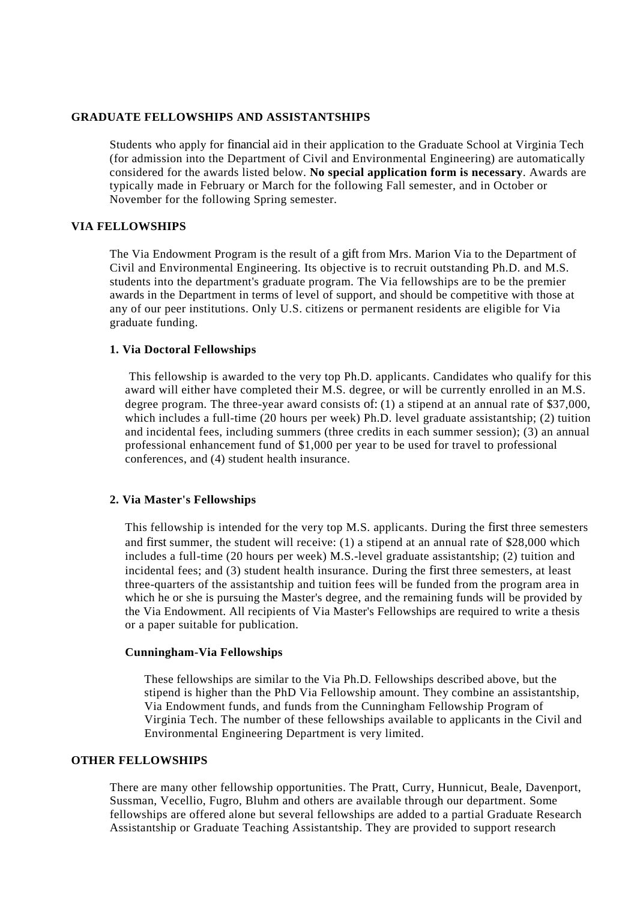## **GRADUATE FELLOWSHIPS AND ASSISTANTSHIPS**

Students who apply for financial aid in their application to the Graduate School at Virginia Tech (for admission into the Department of Civil and Environmental Engineering) are automatically considered for the awards listed below. **No special application form is necessary**. Awards are typically made in February or March for the following Fall semester, and in October or November for the following Spring semester.

## **VIA FELLOWSHIPS**

The Via Endowment Program is the result of a gift from Mrs. Marion Via to the Department of Civil and Environmental Engineering. Its objective is to recruit outstanding Ph.D. and M.S. students into the department's graduate program. The Via fellowships are to be the premier awards in the Department in terms of level of support, and should be competitive with those at any of our peer institutions. Only U.S. citizens or permanent residents are eligible for Via graduate funding.

## **1. Via Doctoral Fellowships**

This fellowship is awarded to the very top Ph.D. applicants. Candidates who qualify for this award will either have completed their M.S. degree, or will be currently enrolled in an M.S. degree program. The three-year award consists of: (1) a stipend at an annual rate of \$37,000, which includes a full-time (20 hours per week) Ph.D. level graduate assistantship; (2) tuition and incidental fees, including summers (three credits in each summer session); (3) an annual professional enhancement fund of \$1,000 per year to be used for travel to professional conferences, and (4) student health insurance.

# **2. Via Master's Fellowships**

This fellowship is intended for the very top M.S. applicants. During the first three semesters and first summer, the student will receive: (1) a stipend at an annual rate of \$28,000 which includes a full-time (20 hours per week) M.S.-level graduate assistantship; (2) tuition and incidental fees; and (3) student health insurance. During the first three semesters, at least three-quarters of the assistantship and tuition fees will be funded from the program area in which he or she is pursuing the Master's degree, and the remaining funds will be provided by the Via Endowment. All recipients of Via Master's Fellowships are required to write a thesis or a paper suitable for publication.

#### **Cunningham-Via Fellowships**

These fellowships are similar to the Via Ph.D. Fellowships described above, but the stipend is higher than the PhD Via Fellowship amount. They combine an assistantship, Via Endowment funds, and funds from the Cunningham Fellowship Program of Virginia Tech. The number of these fellowships available to applicants in the Civil and Environmental Engineering Department is very limited.

## **OTHER FELLOWSHIPS**

There are many other fellowship opportunities. The Pratt, Curry, Hunnicut, Beale, Davenport, Sussman, Vecellio, Fugro, Bluhm and others are available through our department. Some fellowships are offered alone but several fellowships are added to a partial Graduate Research Assistantship or Graduate Teaching Assistantship. They are provided to support research